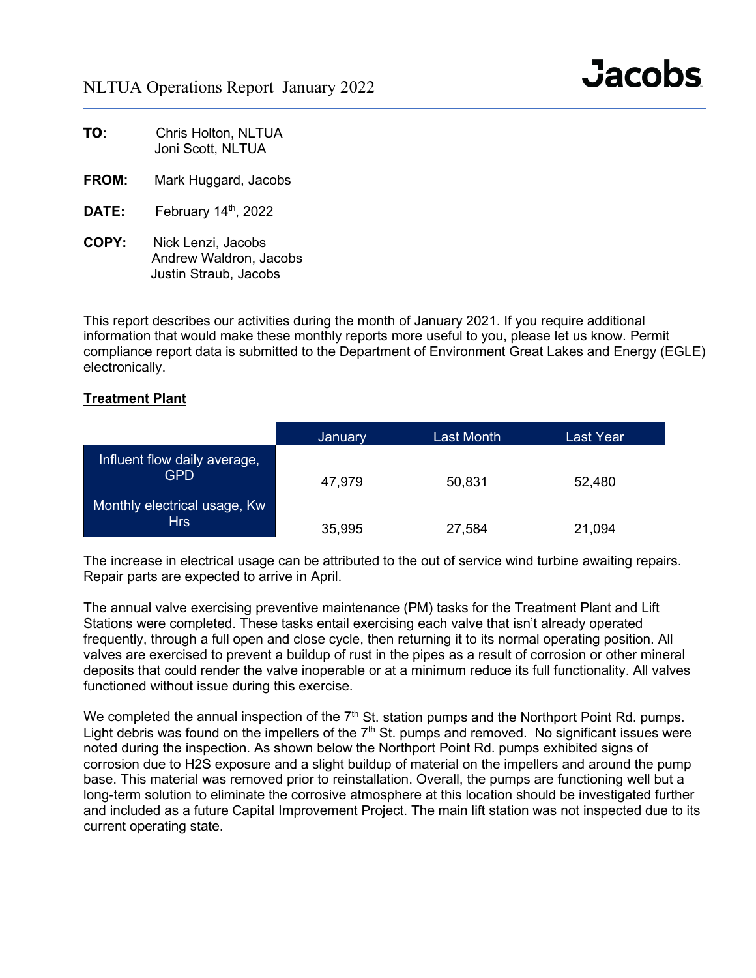| TO: | Chris Holton, NLTUA |
|-----|---------------------|
|     | Joni Scott, NLTUA   |

- **FROM:** Mark Huggard, Jacobs
- DATE: February 14<sup>th</sup>, 2022
- **COPY:** Nick Lenzi, Jacobs Andrew Waldron, Jacobs Justin Straub, Jacobs

This report describes our activities during the month of January 2021. If you require additional information that would make these monthly reports more useful to you, please let us know. Permit compliance report data is submitted to the Department of Environment Great Lakes and Energy (EGLE) electronically.

### **Treatment Plant**

|                                            | January | Last Month | Last Year |
|--------------------------------------------|---------|------------|-----------|
| Influent flow daily average,<br>GPD        | 47,979  | 50,831     | 52,480    |
| Monthly electrical usage, Kw<br><b>Hrs</b> | 35,995  | 27,584     | 21,094    |

The increase in electrical usage can be attributed to the out of service wind turbine awaiting repairs. Repair parts are expected to arrive in April.

The annual valve exercising preventive maintenance (PM) tasks for the Treatment Plant and Lift Stations were completed. These tasks entail exercising each valve that isn't already operated frequently, through a full open and close cycle, then returning it to its normal operating position. All valves are exercised to prevent a buildup of rust in the pipes as a result of corrosion or other mineral deposits that could render the valve inoperable or at a minimum reduce its full functionality. All valves functioned without issue during this exercise.

We completed the annual inspection of the 7<sup>th</sup> St. station pumps and the Northport Point Rd. pumps. Light debris was found on the impellers of the  $7<sup>th</sup>$  St. pumps and removed. No significant issues were noted during the inspection. As shown below the Northport Point Rd. pumps exhibited signs of corrosion due to H2S exposure and a slight buildup of material on the impellers and around the pump base. This material was removed prior to reinstallation. Overall, the pumps are functioning well but a long-term solution to eliminate the corrosive atmosphere at this location should be investigated further and included as a future Capital Improvement Project. The main lift station was not inspected due to its current operating state.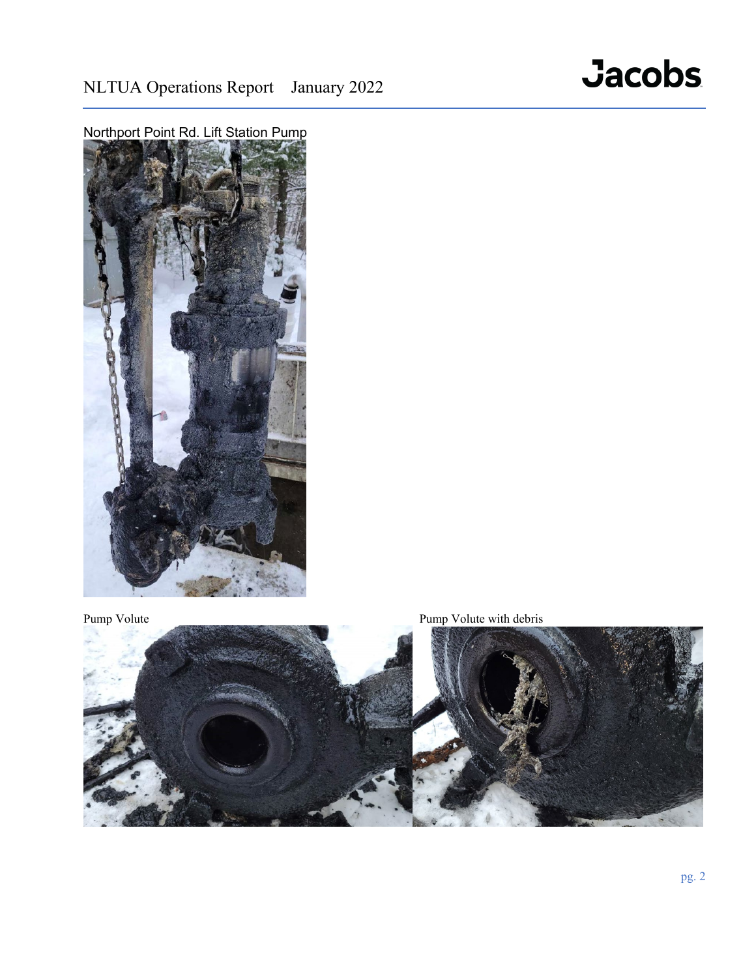





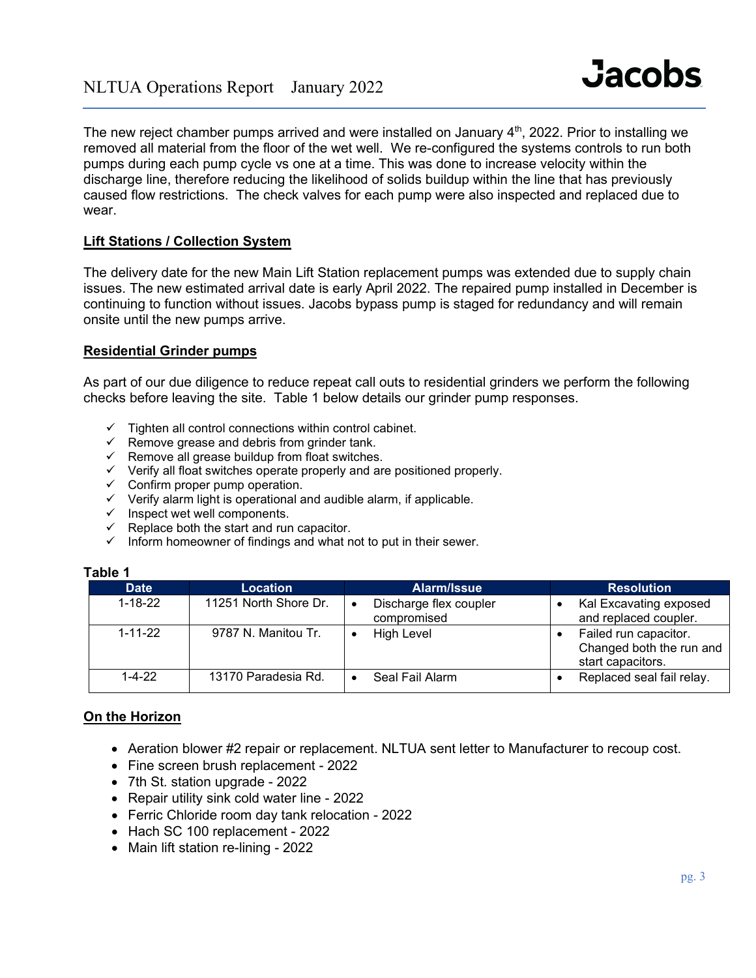The new reject chamber pumps arrived and were installed on January  $4<sup>th</sup>$ , 2022. Prior to installing we removed all material from the floor of the wet well. We re-configured the systems controls to run both pumps during each pump cycle vs one at a time. This was done to increase velocity within the discharge line, therefore reducing the likelihood of solids buildup within the line that has previously caused flow restrictions. The check valves for each pump were also inspected and replaced due to wear.

# **Lift Stations / Collection System**

The delivery date for the new Main Lift Station replacement pumps was extended due to supply chain issues. The new estimated arrival date is early April 2022. The repaired pump installed in December is continuing to function without issues. Jacobs bypass pump is staged for redundancy and will remain onsite until the new pumps arrive.

## **Residential Grinder pumps**

As part of our due diligence to reduce repeat call outs to residential grinders we perform the following checks before leaving the site. Table 1 below details our grinder pump responses.

- Tighten all control connections within control cabinet.
- $\checkmark$  Remove grease and debris from grinder tank.
- $\checkmark$  Remove all grease buildup from float switches.
- $\checkmark$  Verify all float switches operate properly and are positioned properly.
- $\checkmark$  Confirm proper pump operation.
- $\checkmark$  Verify alarm light is operational and audible alarm, if applicable.
- $\checkmark$  Inspect wet well components.
- $\checkmark$  Replace both the start and run capacitor.
- $\checkmark$  Inform homeowner of findings and what not to put in their sewer.

| ı avıc |               |                       |                                       |                                                                        |  |  |  |
|--------|---------------|-----------------------|---------------------------------------|------------------------------------------------------------------------|--|--|--|
|        | <b>Date</b>   | Location              | Alarm/Issue                           | <b>Resolution</b>                                                      |  |  |  |
|        | $1 - 18 - 22$ | 11251 North Shore Dr. | Discharge flex coupler<br>compromised | Kal Excavating exposed<br>and replaced coupler.                        |  |  |  |
|        | $1 - 11 - 22$ | 9787 N. Manitou Tr.   | <b>High Level</b>                     | Failed run capacitor.<br>Changed both the run and<br>start capacitors. |  |  |  |
|        | 1-4-22        | 13170 Paradesia Rd.   | Seal Fail Alarm                       | Replaced seal fail relay.                                              |  |  |  |

#### **Table 1**

## **On the Horizon**

- Aeration blower #2 repair or replacement. NLTUA sent letter to Manufacturer to recoup cost.
- Fine screen brush replacement 2022
- 7th St. station upgrade 2022
- Repair utility sink cold water line 2022
- Ferric Chloride room day tank relocation 2022
- Hach SC 100 replacement 2022
- Main lift station re-lining 2022